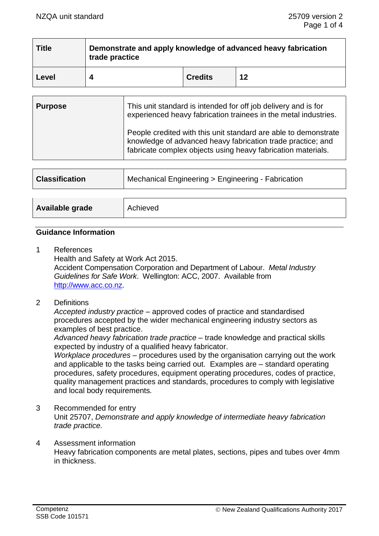| <b>Title</b> | Demonstrate and apply knowledge of advanced heavy fabrication<br>trade practice |                |    |
|--------------|---------------------------------------------------------------------------------|----------------|----|
| Level        |                                                                                 | <b>Credits</b> | 12 |

| <b>Purpose</b> | This unit standard is intended for off job delivery and is for<br>experienced heavy fabrication trainees in the metal industries.                                                              |  |
|----------------|------------------------------------------------------------------------------------------------------------------------------------------------------------------------------------------------|--|
|                | People credited with this unit standard are able to demonstrate<br>knowledge of advanced heavy fabrication trade practice; and<br>fabricate complex objects using heavy fabrication materials. |  |

| <b>Classification</b> | Mechanical Engineering > Engineering - Fabrication |  |
|-----------------------|----------------------------------------------------|--|
|                       |                                                    |  |
| Available grade       | Achieved                                           |  |

### **Guidance Information**

- 1 References Health and Safety at Work Act 2015. Accident Compensation Corporation and Department of Labour. *Metal Industry Guidelines for Safe Work*. Wellington: ACC, 2007. Available from [http://www.acc.co.nz.](http://www.acc.co.nz/)
- 2 Definitions

*Accepted industry practice –* approved codes of practice and standardised procedures accepted by the wider mechanical engineering industry sectors as examples of best practice.

*Advanced heavy fabrication trade practice* – trade knowledge and practical skills expected by industry of a qualified heavy fabricator.

*Workplace procedures –* procedures used by the organisation carrying out the work and applicable to the tasks being carried out. Examples are – standard operating procedures, safety procedures, equipment operating procedures, codes of practice, quality management practices and standards, procedures to comply with legislative and local body requirements*.*

- 3 Recommended for entry Unit 25707, *Demonstrate and apply knowledge of intermediate heavy fabrication trade practice.*
- 4 Assessment information Heavy fabrication components are metal plates, sections, pipes and tubes over 4mm in thickness.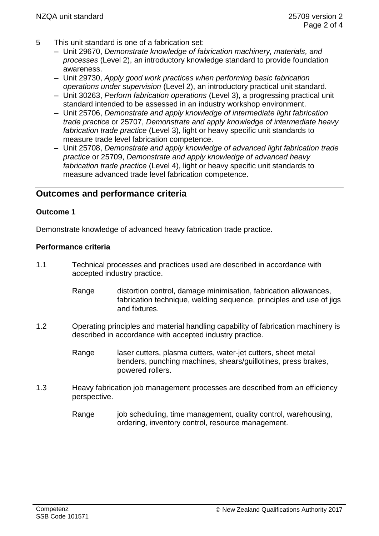- 5 This unit standard is one of a fabrication set:
	- Unit 29670, *Demonstrate knowledge of fabrication machinery, materials, and processes* (Level 2), an introductory knowledge standard to provide foundation awareness.
	- Unit 29730, *Apply good work practices when performing basic fabrication operations under supervision* (Level 2), an introductory practical unit standard.
	- Unit 30263, *Perform fabrication operations* (Level 3), a progressing practical unit standard intended to be assessed in an industry workshop environment.
	- Unit 25706, *Demonstrate and apply knowledge of intermediate light fabrication trade practice* or 25707, *Demonstrate and apply knowledge of intermediate heavy fabrication trade practice* (Level 3), light or heavy specific unit standards to measure trade level fabrication competence.
	- Unit 25708, *Demonstrate and apply knowledge of advanced light fabrication trade practice* or 25709, *Demonstrate and apply knowledge of advanced heavy fabrication trade practice* (Level 4), light or heavy specific unit standards to measure advanced trade level fabrication competence.

# **Outcomes and performance criteria**

## **Outcome 1**

Demonstrate knowledge of advanced heavy fabrication trade practice.

## **Performance criteria**

- 1.1 Technical processes and practices used are described in accordance with accepted industry practice.
	- Range distortion control, damage minimisation, fabrication allowances, fabrication technique, welding sequence, principles and use of jigs and fixtures.
- 1.2 Operating principles and material handling capability of fabrication machinery is described in accordance with accepted industry practice.
	- Range laser cutters, plasma cutters, water-jet cutters, sheet metal benders, punching machines, shears/guillotines, press brakes, powered rollers.
- 1.3 Heavy fabrication job management processes are described from an efficiency perspective.
	- Range job scheduling, time management, quality control, warehousing, ordering, inventory control, resource management.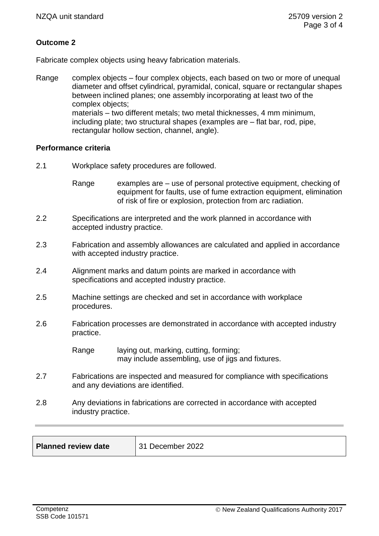# **Outcome 2**

Fabricate complex objects using heavy fabrication materials.

Range complex objects – four complex objects, each based on two or more of unequal diameter and offset cylindrical, pyramidal, conical, square or rectangular shapes between inclined planes; one assembly incorporating at least two of the complex objects; materials – two different metals; two metal thicknesses, 4 mm minimum, including plate; two structural shapes (examples are – flat bar, rod, pipe, rectangular hollow section, channel, angle).

#### **Performance criteria**

- 2.1 Workplace safety procedures are followed.
	- Range examples are  $-$  use of personal protective equipment, checking of equipment for faults, use of fume extraction equipment, elimination of risk of fire or explosion, protection from arc radiation.
- 2.2 Specifications are interpreted and the work planned in accordance with accepted industry practice.
- 2.3 Fabrication and assembly allowances are calculated and applied in accordance with accepted industry practice.
- 2.4 Alignment marks and datum points are marked in accordance with specifications and accepted industry practice.
- 2.5 Machine settings are checked and set in accordance with workplace procedures.
- 2.6 Fabrication processes are demonstrated in accordance with accepted industry practice.

Range laying out, marking, cutting, forming; may include assembling, use of jigs and fixtures.

- 2.7 Fabrications are inspected and measured for compliance with specifications and any deviations are identified.
- 2.8 Any deviations in fabrications are corrected in accordance with accepted industry practice.

| <b>Planned review date</b> | 1 December 2022<br>-31 |
|----------------------------|------------------------|
|                            |                        |